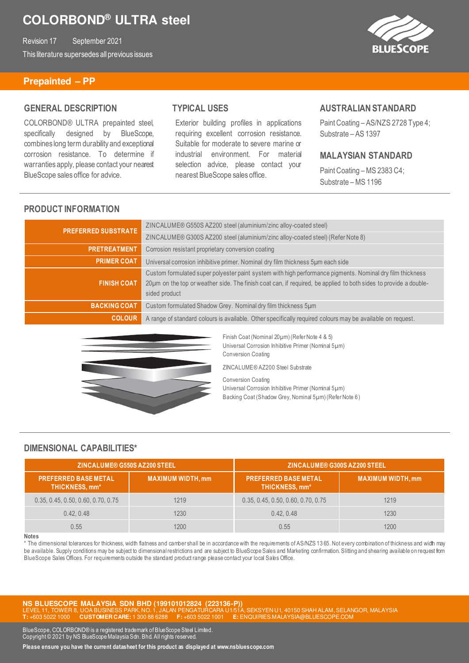Revision 17 September 2021 This literature supersedes all previous issues



#### **Prepainted – PP**

#### **GENERAL DESCRIPTION**

COLORBOND® ULTRA prepainted steel, specifically designed by BlueScope, combines long term durability and exceptional corrosion resistance. To determine if warranties apply, please contact your nearest BlueScope sales office for advice.

### **TYPICAL USES**

Exterior building profiles in applications requiring excellent corrosion resistance. Suitable for moderate to severe marine or industrial environment. For material selection advice, please contact your nearest BlueScope sales office.

#### **AUSTRALIAN STANDARD**

Paint Coating – AS/NZS 2728 Type 4; Substrate – AS 1397

#### **MALAYSIAN STANDARD**

Paint Coating – MS 2383 C4; Substrate – MS 1196

#### **PRODUCT INFORMATION**

| <b>PREFERRED SUBSTRATE</b> | ZINCALUME® G550S AZ200 steel (aluminium/zinc alloy-coated steel)                                                                                                                                                                               |
|----------------------------|------------------------------------------------------------------------------------------------------------------------------------------------------------------------------------------------------------------------------------------------|
|                            | ZINCALUME® G300S AZ200 steel (aluminium/zinc alloy-coated steel) (Refer Note 8)                                                                                                                                                                |
| <b>PRETREATMENT</b>        | Corrosion resistant proprietary conversion coating                                                                                                                                                                                             |
| <b>PRIMER COAT</b>         | Universal corrosion inhibitive primer. Nominal dry film thickness 5um each side                                                                                                                                                                |
| <b>FINISH COAT</b>         | Custom formulated super polyester paint system with high performance pigments. Nominal dry film thickness<br>20µm on the top or weather side. The finish coat can, if required, be applied to both sides to provide a double-<br>sided product |
| <b>BACKING COAT</b>        | Custom formulated Shadow Grey. Nominal dry film thickness 5um                                                                                                                                                                                  |
| <b>COLOUR</b>              | A range of standard colours is available. Other specifically required colours may be available on request.                                                                                                                                     |



Finish Coat (Nominal 20µm) (Refer Note 4 & 5) Universal Corrosion Inhibitive Primer (Nominal 5µm) Conversion Coating

ZINCALUME® AZ200 Steel Substrate

Conversion Coating Universal Corrosion Inhibitive Primer (Nominal 5µm) Backing Coat (Shadow Grey, Nominal 5µm) (Refer Note 6)

#### **DIMENSIONAL CAPABILITIES\***

| <b>ZINCALUME® G550S AZ200 STEEL</b>           |                          | <b>ZINCALUME® G300S AZ200 STEEL</b>           |                          |
|-----------------------------------------------|--------------------------|-----------------------------------------------|--------------------------|
| <b>PREFERRED BASE METAL</b><br>THICKNESS, mm* | <b>MAXIMUM WIDTH, mm</b> | <b>PREFERRED BASE METAL</b><br>THICKNESS, mm* | <b>MAXIMUM WIDTH, mm</b> |
| 0.35, 0.45, 0.50, 0.60, 0.70, 0.75            | 1219                     | 0.35, 0.45, 0.50, 0.60, 0.70, 0.75            | 1219                     |
| 0.42, 0.48                                    | 1230                     | 0.42, 0.48                                    | 1230                     |
| 0.55                                          | 1200.                    | 0.55                                          | 1200                     |

#### **Notes**

\* The dimensional tolerances for thickness, width flatness and camber shall be in accordance with the requirements of AS/NZS 13 65. Not every combination of thickness and width may be available. Supply conditions may be subject to dimensional restrictions and are subject to BlueScope Sales and Marketing confirmation. Slitting and shearing available on request from BlueScope Sales Offices. For requirements outside the standard product range please contact your local Sales Office.

**NS BLUESCOPE MALAYSIA SDN BHD (199101012824 (223136-P))**  40150 SHAH ALAM, SELANGOR, MALAYSIA  $\overline{\text{CUSTOMER CARE}}$ 

BlueScope, COLORBOND® is a registered trademark of BlueScope Steel Limited. Copyright © 2021 by NS BlueScope Malaysia Sdn. Bhd. All rights reserved.

**Please ensure you have the current datasheet for this product as displayed at www.nsbluescope.com**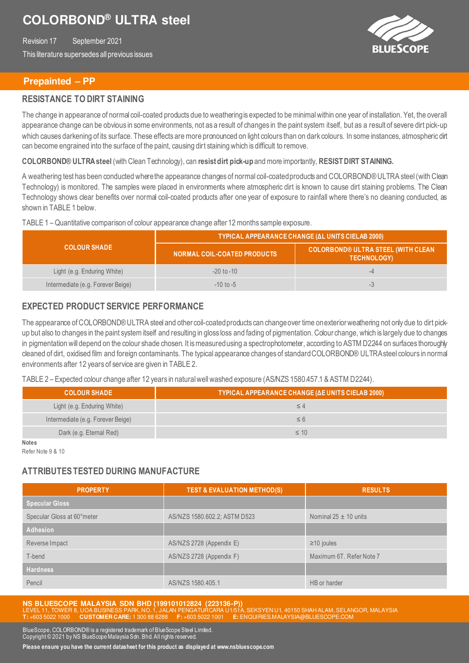Revision 17 September 2021 This literature supersedes all previous issues



#### **Prepainted – PP**

#### **RESISTANCE TO DIRT STAINING**

The change in appearance of normal coil-coated products due to weathering is expected to be minimal within one year of installation. Yet, the overall appearance change can be obvious in some environments, not as a result of changes in the paint system itself, but as a result of severe dirt pick-up which causes darkening of its surface. These effects are more pronounced on light colours than on dark colours. In some instances, atmospheric dit can become engrained into the surface of the paint, causing dirt staining which is difficult to remove.

**COLORBOND® ULTRA steel** (with Clean Technology), can **resist dirt pick-up** and more importantly, **RESISTDIRT STAINING.** 

A weathering test has been conducted where the appearance changes of normal coil-coated products and COLORBOND® ULTRA steel (with Clean Technology) is monitored. The samples were placed in environments where atmospheric dirt is known to cause dirt staining problems. The Clean Technology shows clear benefits over normal coil-coated products after one year of exposure to rainfall where there's no cleaning conducted, as shown in TABLE 1 below.

#### TABLE 1 – Quantitative comparison of colour appearance change after 12 months sample exposure.

|                                   | TYPICAL APPEARANCE CHANGE (AL UNITS CIELAB 2000) |                                                                 |  |
|-----------------------------------|--------------------------------------------------|-----------------------------------------------------------------|--|
| <b>COLOUR SHADE</b>               | NORMAL COIL-COATED PRODUCTS                      | <b>COLORBOND® ULTRA STEEL (WITH CLEAN</b><br><b>TECHNOLOGY)</b> |  |
| Light (e.g. Enduring White)       | $-20$ to $-10$                                   |                                                                 |  |
| Intermediate (e.g. Forever Beige) | $-10$ to $-5$                                    |                                                                 |  |

### **EXPECTED PRODUCT SERVICE PERFORMANCE**

The appearance of COLORBOND® ULTRA steel and other coil-coated products can change over time on exterior weathering not only due to dirt pickup but also to changes in the paint system itself and resulting in gloss loss and fading of pigmentation. Colour change, which is largely due to changes in pigmentation will depend on the colour shade chosen. It is measured using a spectrophotometer, according to ASTM D2244 on surfaces thoroughly cleaned of dirt, oxidised film and foreign contaminants. The typical appearance changes of standard COLORBOND® ULTRA steel colours in normal environments after 12 years of service are given in TABLE 2.

TABLE 2 – Expected colour change after 12 years in natural well washed exposure (AS/NZS 1580.457.1 & ASTM D2244).

| <b>COLOUR SHADE</b>               | TYPICAL APPEARANCE CHANGE (AE UNITS CIELAB 2000) |
|-----------------------------------|--------------------------------------------------|
| Light (e.g. Enduring White)       |                                                  |
| Intermediate (e.g. Forever Beige) | $\leq 6$                                         |
| Dark (e.g. Eternal Red)           | $\leq 10$                                        |
| <b>Notes</b>                      |                                                  |

Refer Note 9 & 10

## **ATTRIBUTES TESTED DURING MANUFACTURE**

| <b>PROPERTY</b>            | <b>TEST &amp; EVALUATION METHOD(S)</b> | <b>RESULTS</b>            |
|----------------------------|----------------------------------------|---------------------------|
| <b>Specular Gloss</b>      |                                        |                           |
| Specular Gloss at 60°meter | AS/NZS 1580.602.2; ASTM D523           | Nominal $25 \pm 10$ units |
| <b>Adhesion</b>            |                                        |                           |
| Reverse Impact             | AS/NZS 2728 (Appendix E)               | $\geq$ 10 joules          |
| T-bend                     | AS/NZS 2728 (Appendix F)               | Maximum 6T. Refer Note 7  |
| <b>Hardness</b>            |                                        |                           |
| Pencil                     | AS/NZS 1580.405.1                      | HB or harder              |

**NS BLUESCOPE MALAYSIA SDN BHD (199101012824 (223136-P))**  40150 SHAH ALAM, SELANGOR, MALAYSIA **T:** +603 5022 1000 **CUSTOMER CARE:** 1 300 88 6288 **F:** +603 5022 1001 **E:** ENQUIRIES.MALAYSIA@BLUESCOPE.COM

BlueScope, COLORBOND® is a registered trademark of BlueScope Steel Limited. Copyright © 2021 by NS BlueScope Malaysia Sdn. Bhd. All rights reserved.

**Please ensure you have the current datasheet for this product as displayed at www.nsbluescope.com**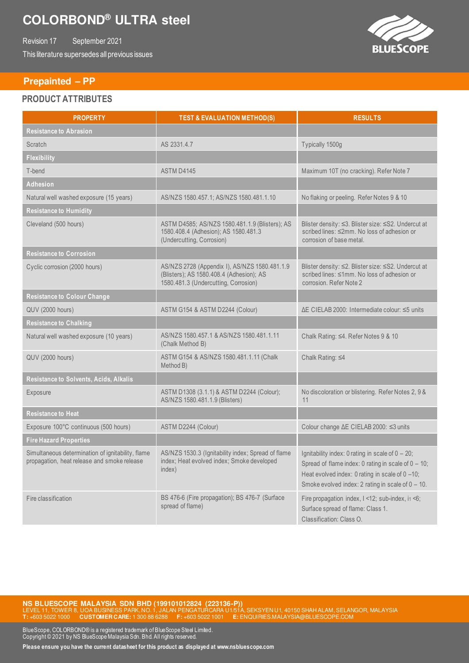Revision 17 September 2021 This literature supersedes all previous issues

### **Prepainted – PP**

#### **PRODUCT ATTRIBUTES**

| <b>PROPERTY</b>                                                                                  | <b>TEST &amp; EVALUATION METHOD(S)</b>                                                                                            | <b>RESULTS</b>                                                                                                                                                                                                              |
|--------------------------------------------------------------------------------------------------|-----------------------------------------------------------------------------------------------------------------------------------|-----------------------------------------------------------------------------------------------------------------------------------------------------------------------------------------------------------------------------|
| <b>Resistance to Abrasion</b>                                                                    |                                                                                                                                   |                                                                                                                                                                                                                             |
| Scratch                                                                                          | AS 2331.4.7                                                                                                                       | Typically 1500g                                                                                                                                                                                                             |
| <b>Flexibility</b>                                                                               |                                                                                                                                   |                                                                                                                                                                                                                             |
| T-bend                                                                                           | ASTM D4145                                                                                                                        | Maximum 10T (no cracking). Refer Note 7                                                                                                                                                                                     |
| <b>Adhesion</b>                                                                                  |                                                                                                                                   |                                                                                                                                                                                                                             |
| Natural well washed exposure (15 years)                                                          | AS/NZS 1580.457.1; AS/NZS 1580.481.1.10                                                                                           | No flaking or peeling. Refer Notes 9 & 10                                                                                                                                                                                   |
| <b>Resistance to Humidity</b>                                                                    |                                                                                                                                   |                                                                                                                                                                                                                             |
| Cleveland (500 hours)                                                                            | ASTM D4585; AS/NZS 1580.481.1.9 (Blisters); AS<br>1580.408.4 (Adhesion); AS 1580.481.3<br>(Undercutting, Corrosion)               | Blister density: ≤3. Blister size: ≤S2. Undercut at<br>scribed lines: ≤2mm. No loss of adhesion or<br>corrosion of base metal.                                                                                              |
| <b>Resistance to Corrosion</b>                                                                   |                                                                                                                                   |                                                                                                                                                                                                                             |
| Cyclic corrosion (2000 hours)                                                                    | AS/NZS 2728 (Appendix I), AS/NZS 1580.481.1.9<br>(Blisters); AS 1580.408.4 (Adhesion); AS<br>1580.481.3 (Undercutting, Corrosion) | Blister density: ≤2. Blister size: ≤S2. Undercut at<br>scribed lines: ≤1mm. No loss of adhesion or<br>corrosion. Refer Note 2                                                                                               |
| <b>Resistance to Colour Change</b>                                                               |                                                                                                                                   |                                                                                                                                                                                                                             |
| <b>QUV (2000 hours)</b>                                                                          | ASTM G154 & ASTM D2244 (Colour)                                                                                                   | AE CIELAB 2000: Intermediate colour: ≤5 units                                                                                                                                                                               |
| <b>Resistance to Chalking</b>                                                                    |                                                                                                                                   |                                                                                                                                                                                                                             |
| Natural well washed exposure (10 years)                                                          | AS/NZS 1580.457.1 & AS/NZS 1580.481.1.11<br>(Chalk Method B)                                                                      | Chalk Rating: ≤4. Refer Notes 9 & 10                                                                                                                                                                                        |
| QUV (2000 hours)                                                                                 | ASTM G154 & AS/NZS 1580.481.1.11 (Chalk<br>Method B)                                                                              | Chalk Rating: ≤4                                                                                                                                                                                                            |
| Resistance to Solvents, Acids, Alkalis                                                           |                                                                                                                                   |                                                                                                                                                                                                                             |
| Exposure                                                                                         | ASTM D1308 (3.1.1) & ASTM D2244 (Colour);<br>AS/NZS 1580.481.1.9 (Blisters)                                                       | No discoloration or blistering. Refer Notes 2, 9 &<br>11                                                                                                                                                                    |
| Resistance to Heat                                                                               |                                                                                                                                   |                                                                                                                                                                                                                             |
| Exposure 100°C continuous (500 hours)                                                            | ASTM D2244 (Colour)                                                                                                               | Colour change ∆E CIELAB 2000: ≤3 units                                                                                                                                                                                      |
| <b>Fire Hazard Properties</b>                                                                    |                                                                                                                                   |                                                                                                                                                                                                                             |
| Simultaneous determination of ignitability, flame<br>propagation, heat release and smoke release | AS/NZS 1530.3 (Ignitability index; Spread of flame<br>index; Heat evolved index; Smoke developed<br>index)                        | Ignitability index: 0 rating in scale of $0 - 20$ ;<br>Spread of flame index: 0 rating in scale of $0 - 10$ ;<br>Heat evolved index: 0 rating in scale of $0 -10$ ;<br>Smoke evolved index: 2 rating in scale of $0 - 10$ . |
| Fire classification                                                                              | BS 476-6 (Fire propagation); BS 476-7 (Surface<br>spread of flame)                                                                | Fire propagation index, I <12; sub-index, i1 <6;<br>Surface spread of flame: Class 1.<br>Classification: Class O.                                                                                                           |

**NS BLUESCOPE MALAYSIA SDN BHD (199101012824 (223136-P))**<br>LEVEL 11, TOWER 8, UOA BUSINESS PARK,NO.1, JALAN PENGATURCARA U1/51A, SEKSYEN U1, 40150 SHAH ALAM, SELANGOR, MALAYSIA **T:** +603 5022 1000 **CUSTOMER CARE:** 1 300 88 6288 **F:** +603 5022 1001 **E:** ENQUIRIES.MALAYSIA@BLUESCOPE.COM

BlueScope, COLORBOND® is a registered trademark of BlueScope Steel Limited. Copyright © 2021 by NS BlueScope Malaysia Sdn. Bhd. All rights reserved.

**Please ensure you have the current datasheet for this product as displayed at www.nsbluescope.com**